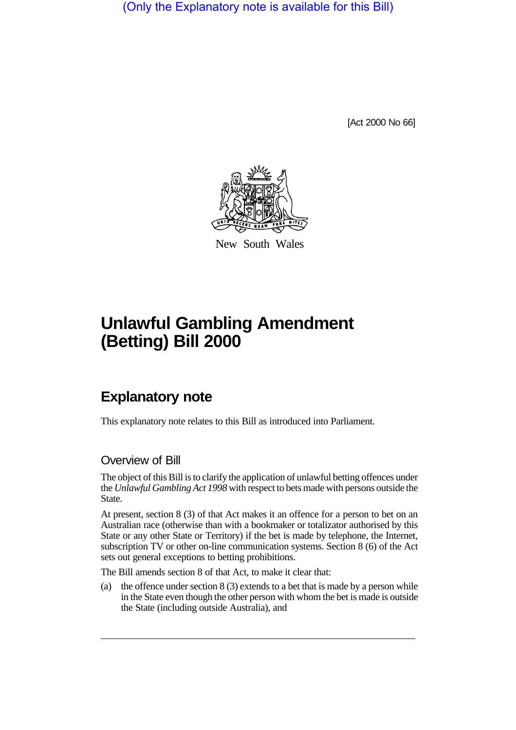(Only the Explanatory note is available for this Bill)

[Act 2000 No 66]



New South Wales

## **Unlawful Gambling Amendment (Betting) Bill 2000**

## **Explanatory note**

This explanatory note relates to this Bill as introduced into Parliament.

## Overview of Bill

The object of this Bill is to clarify the application of unlawful betting offences under the *Unlawful Gambling Act 1998* with respect to bets made with persons outside the State.

At present, section 8 (3) of that Act makes it an offence for a person to bet on an Australian race (otherwise than with a bookmaker or totalizator authorised by this State or any other State or Territory) if the bet is made by telephone, the Internet, subscription TV or other on-line communication systems. Section 8 (6) of the Act sets out general exceptions to betting prohibitions.

The Bill amends section 8 of that Act, to make it clear that:

(a) the offence under section 8 (3) extends to a bet that is made by a person while in the State even though the other person with whom the bet is made is outside the State (including outside Australia), and